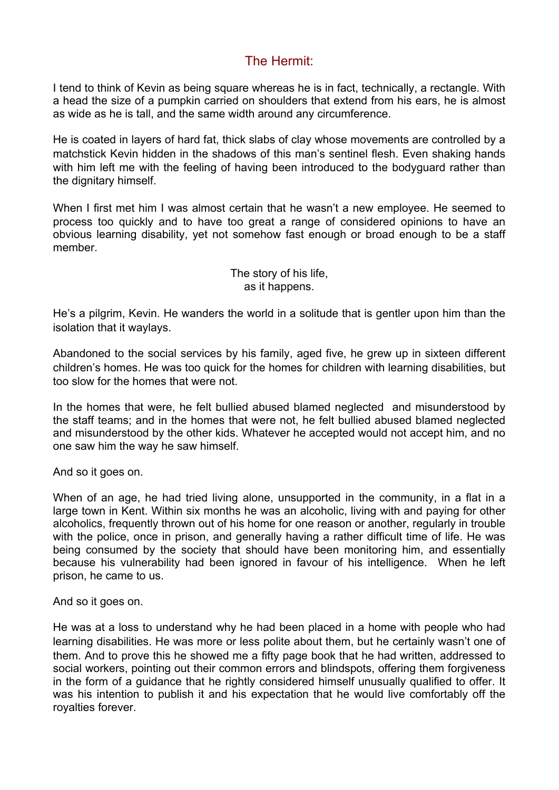## The Hermit:

I tend to think of Kevin as being square whereas he is in fact, technically, a rectangle. With a head the size of a pumpkin carried on shoulders that extend from his ears, he is almost as wide as he is tall, and the same width around any circumference.

He is coated in layers of hard fat, thick slabs of clay whose movements are controlled by a matchstick Kevin hidden in the shadows of this man's sentinel flesh. Even shaking hands with him left me with the feeling of having been introduced to the bodyguard rather than the dignitary himself.

When I first met him I was almost certain that he wasn't a new employee. He seemed to process too quickly and to have too great a range of considered opinions to have an obvious learning disability, yet not somehow fast enough or broad enough to be a staff member.

> The story of his life, as it happens.

He's a pilgrim, Kevin. He wanders the world in a solitude that is gentler upon him than the isolation that it waylays.

Abandoned to the social services by his family, aged five, he grew up in sixteen different children's homes. He was too quick for the homes for children with learning disabilities, but too slow for the homes that were not.

In the homes that were, he felt bullied abused blamed neglected and misunderstood by the staff teams; and in the homes that were not, he felt bullied abused blamed neglected and misunderstood by the other kids. Whatever he accepted would not accept him, and no one saw him the way he saw himself.

And so it goes on.

When of an age, he had tried living alone, unsupported in the community, in a flat in a large town in Kent. Within six months he was an alcoholic, living with and paying for other alcoholics, frequently thrown out of his home for one reason or another, regularly in trouble with the police, once in prison, and generally having a rather difficult time of life. He was being consumed by the society that should have been monitoring him, and essentially because his vulnerability had been ignored in favour of his intelligence. When he left prison, he came to us.

And so it goes on.

He was at a loss to understand why he had been placed in a home with people who had learning disabilities. He was more or less polite about them, but he certainly wasn't one of them. And to prove this he showed me a fifty page book that he had written, addressed to social workers, pointing out their common errors and blindspots, offering them forgiveness in the form of a guidance that he rightly considered himself unusually qualified to offer. It was his intention to publish it and his expectation that he would live comfortably off the royalties forever.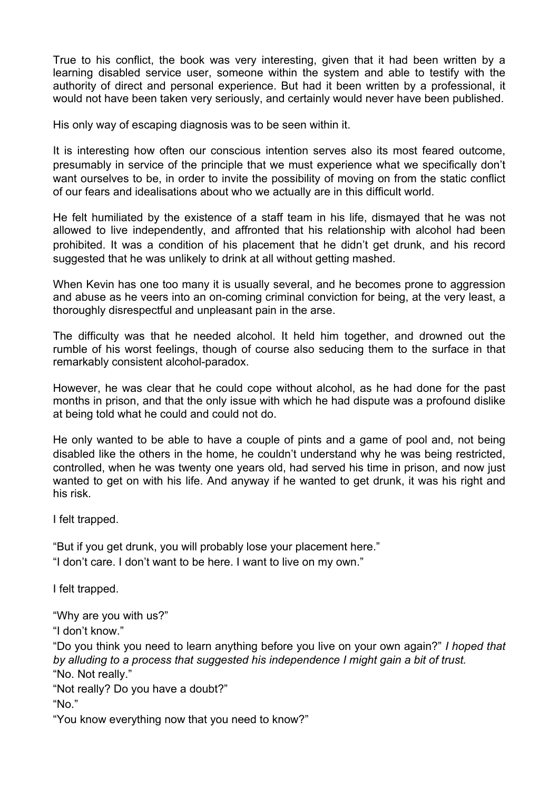True to his conflict, the book was very interesting, given that it had been written by a learning disabled service user, someone within the system and able to testify with the authority of direct and personal experience. But had it been written by a professional, it would not have been taken very seriously, and certainly would never have been published.

His only way of escaping diagnosis was to be seen within it.

It is interesting how often our conscious intention serves also its most feared outcome, presumably in service of the principle that we must experience what we specifically don't want ourselves to be, in order to invite the possibility of moving on from the static conflict of our fears and idealisations about who we actually are in this difficult world.

He felt humiliated by the existence of a staff team in his life, dismayed that he was not allowed to live independently, and affronted that his relationship with alcohol had been prohibited. It was a condition of his placement that he didn't get drunk, and his record suggested that he was unlikely to drink at all without getting mashed.

When Kevin has one too many it is usually several, and he becomes prone to aggression and abuse as he veers into an on-coming criminal conviction for being, at the very least, a thoroughly disrespectful and unpleasant pain in the arse.

The difficulty was that he needed alcohol. It held him together, and drowned out the rumble of his worst feelings, though of course also seducing them to the surface in that remarkably consistent alcohol-paradox.

However, he was clear that he could cope without alcohol, as he had done for the past months in prison, and that the only issue with which he had dispute was a profound dislike at being told what he could and could not do.

He only wanted to be able to have a couple of pints and a game of pool and, not being disabled like the others in the home, he couldn't understand why he was being restricted, controlled, when he was twenty one years old, had served his time in prison, and now just wanted to get on with his life. And anyway if he wanted to get drunk, it was his right and his risk.

I felt trapped.

"But if you get drunk, you will probably lose your placement here." "I don't care. I don't want to be here. I want to live on my own."

I felt trapped.

"Why are you with us?"

"I don't know."

"Do you think you need to learn anything before you live on your own again?" *I hoped that by alluding to a process that suggested his independence I might gain a bit of trust.*

"No. Not really."

"Not really? Do you have a doubt?"

"No."

"You know everything now that you need to know?"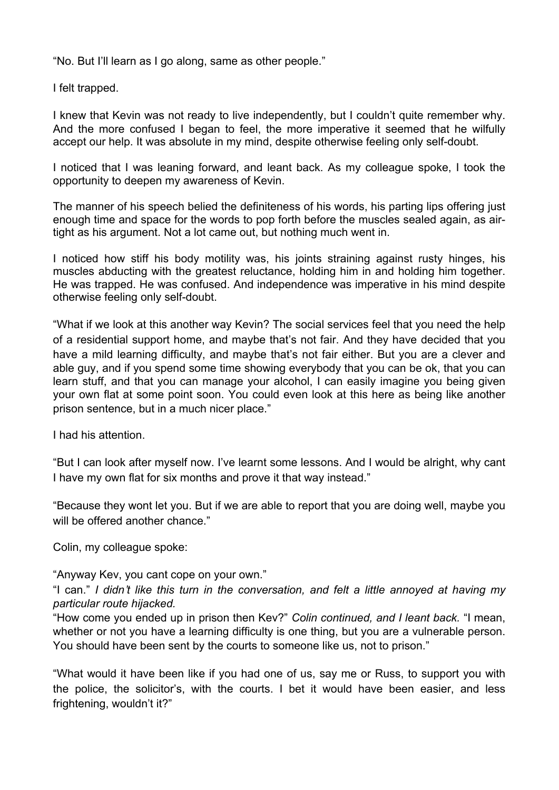"No. But I'll learn as I go along, same as other people."

I felt trapped.

I knew that Kevin was not ready to live independently, but I couldn't quite remember why. And the more confused I began to feel, the more imperative it seemed that he wilfully accept our help. It was absolute in my mind, despite otherwise feeling only self-doubt.

I noticed that I was leaning forward, and leant back. As my colleague spoke, I took the opportunity to deepen my awareness of Kevin.

The manner of his speech belied the definiteness of his words, his parting lips offering just enough time and space for the words to pop forth before the muscles sealed again, as airtight as his argument. Not a lot came out, but nothing much went in.

I noticed how stiff his body motility was, his joints straining against rusty hinges, his muscles abducting with the greatest reluctance, holding him in and holding him together. He was trapped. He was confused. And independence was imperative in his mind despite otherwise feeling only self-doubt.

"What if we look at this another way Kevin? The social services feel that you need the help of a residential support home, and maybe that's not fair. And they have decided that you have a mild learning difficulty, and maybe that's not fair either. But you are a clever and able guy, and if you spend some time showing everybody that you can be ok, that you can learn stuff, and that you can manage your alcohol, I can easily imagine you being given your own flat at some point soon. You could even look at this here as being like another prison sentence, but in a much nicer place."

I had his attention.

"But I can look after myself now. I've learnt some lessons. And I would be alright, why cant I have my own flat for six months and prove it that way instead."

"Because they wont let you. But if we are able to report that you are doing well, maybe you will be offered another chance."

Colin, my colleague spoke:

"Anyway Kev, you cant cope on your own."

"I can." *I didn*'*t like this turn in the conversation, and felt a little annoyed at having my particular route hijacked.*

"How come you ended up in prison then Kev?" *Colin continued, and I leant back.* "I mean, whether or not you have a learning difficulty is one thing, but you are a vulnerable person. You should have been sent by the courts to someone like us, not to prison."

"What would it have been like if you had one of us, say me or Russ, to support you with the police, the solicitor's, with the courts. I bet it would have been easier, and less frightening, wouldn't it?"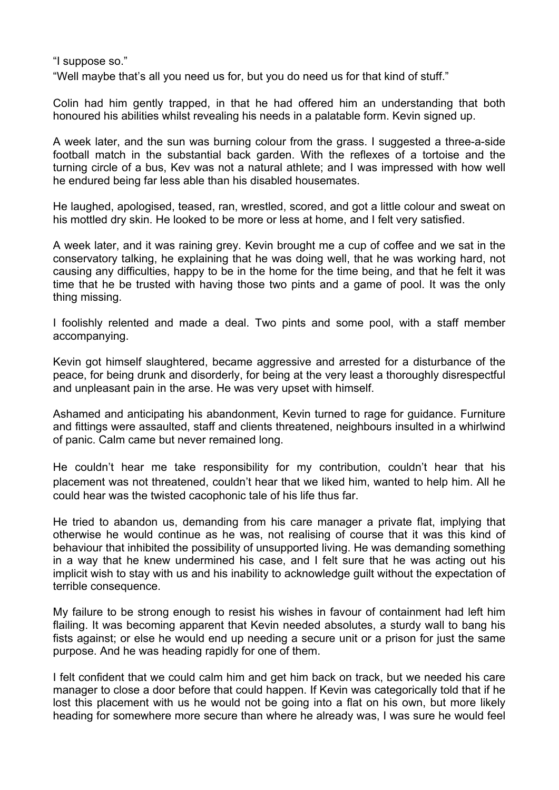"I suppose so."

"Well maybe that's all you need us for, but you do need us for that kind of stuff."

Colin had him gently trapped, in that he had offered him an understanding that both honoured his abilities whilst revealing his needs in a palatable form. Kevin signed up.

A week later, and the sun was burning colour from the grass. I suggested a three-a-side football match in the substantial back garden. With the reflexes of a tortoise and the turning circle of a bus, Kev was not a natural athlete; and I was impressed with how well he endured being far less able than his disabled housemates.

He laughed, apologised, teased, ran, wrestled, scored, and got a little colour and sweat on his mottled dry skin. He looked to be more or less at home, and I felt very satisfied.

A week later, and it was raining grey. Kevin brought me a cup of coffee and we sat in the conservatory talking, he explaining that he was doing well, that he was working hard, not causing any difficulties, happy to be in the home for the time being, and that he felt it was time that he be trusted with having those two pints and a game of pool. It was the only thing missing.

I foolishly relented and made a deal. Two pints and some pool, with a staff member accompanying.

Kevin got himself slaughtered, became aggressive and arrested for a disturbance of the peace, for being drunk and disorderly, for being at the very least a thoroughly disrespectful and unpleasant pain in the arse. He was very upset with himself.

Ashamed and anticipating his abandonment, Kevin turned to rage for guidance. Furniture and fittings were assaulted, staff and clients threatened, neighbours insulted in a whirlwind of panic. Calm came but never remained long.

He couldn't hear me take responsibility for my contribution, couldn't hear that his placement was not threatened, couldn't hear that we liked him, wanted to help him. All he could hear was the twisted cacophonic tale of his life thus far.

He tried to abandon us, demanding from his care manager a private flat, implying that otherwise he would continue as he was, not realising of course that it was this kind of behaviour that inhibited the possibility of unsupported living. He was demanding something in a way that he knew undermined his case, and I felt sure that he was acting out his implicit wish to stay with us and his inability to acknowledge guilt without the expectation of terrible consequence.

My failure to be strong enough to resist his wishes in favour of containment had left him flailing. It was becoming apparent that Kevin needed absolutes, a sturdy wall to bang his fists against; or else he would end up needing a secure unit or a prison for just the same purpose. And he was heading rapidly for one of them.

I felt confident that we could calm him and get him back on track, but we needed his care manager to close a door before that could happen. If Kevin was categorically told that if he lost this placement with us he would not be going into a flat on his own, but more likely heading for somewhere more secure than where he already was, I was sure he would feel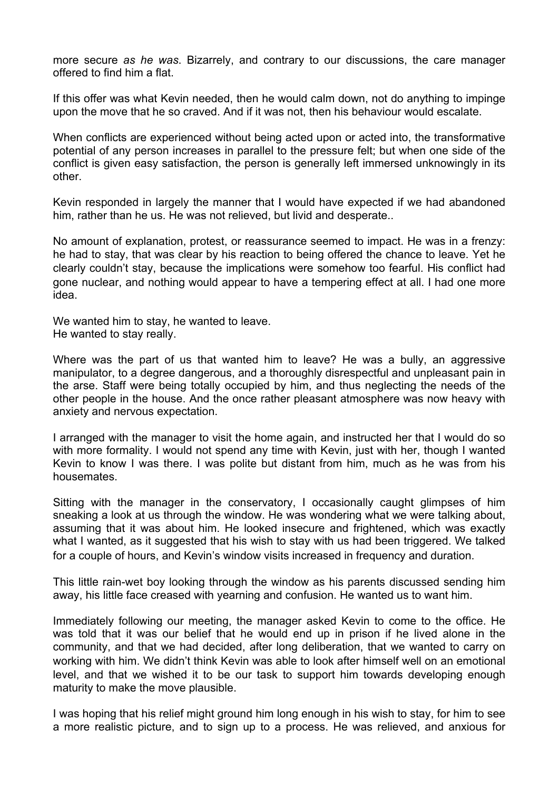more secure *as he was*. Bizarrely, and contrary to our discussions, the care manager offered to find him a flat.

If this offer was what Kevin needed, then he would calm down, not do anything to impinge upon the move that he so craved. And if it was not, then his behaviour would escalate.

When conflicts are experienced without being acted upon or acted into, the transformative potential of any person increases in parallel to the pressure felt; but when one side of the conflict is given easy satisfaction, the person is generally left immersed unknowingly in its other.

Kevin responded in largely the manner that I would have expected if we had abandoned him, rather than he us. He was not relieved, but livid and desperate..

No amount of explanation, protest, or reassurance seemed to impact. He was in a frenzy: he had to stay, that was clear by his reaction to being offered the chance to leave. Yet he clearly couldn't stay, because the implications were somehow too fearful. His conflict had gone nuclear, and nothing would appear to have a tempering effect at all. I had one more idea.

We wanted him to stay, he wanted to leave. He wanted to stay really.

Where was the part of us that wanted him to leave? He was a bully, an aggressive manipulator, to a degree dangerous, and a thoroughly disrespectful and unpleasant pain in the arse. Staff were being totally occupied by him, and thus neglecting the needs of the other people in the house. And the once rather pleasant atmosphere was now heavy with anxiety and nervous expectation.

I arranged with the manager to visit the home again, and instructed her that I would do so with more formality. I would not spend any time with Kevin, just with her, though I wanted Kevin to know I was there. I was polite but distant from him, much as he was from his housemates.

Sitting with the manager in the conservatory, I occasionally caught glimpses of him sneaking a look at us through the window. He was wondering what we were talking about, assuming that it was about him. He looked insecure and frightened, which was exactly what I wanted, as it suggested that his wish to stay with us had been triggered. We talked for a couple of hours, and Kevin's window visits increased in frequency and duration.

This little rain-wet boy looking through the window as his parents discussed sending him away, his little face creased with yearning and confusion. He wanted us to want him.

Immediately following our meeting, the manager asked Kevin to come to the office. He was told that it was our belief that he would end up in prison if he lived alone in the community, and that we had decided, after long deliberation, that we wanted to carry on working with him. We didn't think Kevin was able to look after himself well on an emotional level, and that we wished it to be our task to support him towards developing enough maturity to make the move plausible.

I was hoping that his relief might ground him long enough in his wish to stay, for him to see a more realistic picture, and to sign up to a process. He was relieved, and anxious for